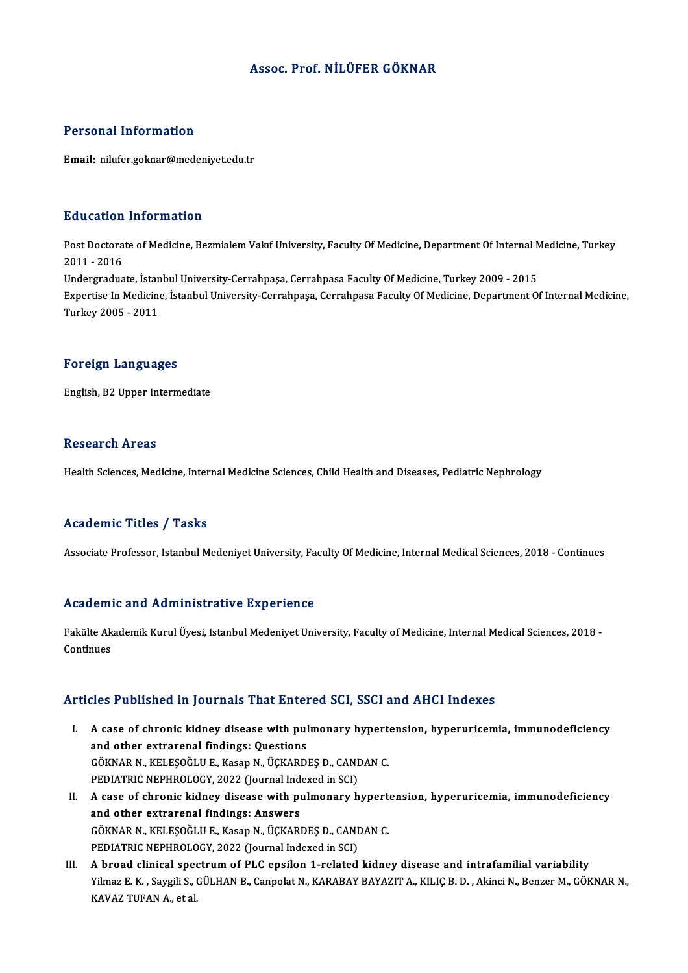### Assoc. Prof.NİLÜFER GÖKNAR

### Personal Information

Email: nilufer.goknar@medeniyet.edu.tr

#### Education Information

Education Information<br>Post Doctorate of Medicine, Bezmialem Vakıf University, Faculty Of Medicine, Department Of Internal Medicine, Turkey<br>2011 - 2016 2011 -2016<br>2011 - 2016<br>2011 - 2016 Post Doctorate of Medicine, Bezmialem Vakıf University, Faculty Of Medicine, Department Of Internal N<br>2011 - 2016<br>Undergraduate, İstanbul University-Cerrahpaşa, Cerrahpasa Faculty Of Medicine, Turkey 2009 - 2015<br>Expertise 2011 - 2016<br>Undergraduate, İstanbul University-Cerrahpaşa, Cerrahpasa Faculty Of Medicine, Turkey 2009 - 2015<br>Expertise In Medicine, İstanbul University-Cerrahpaşa, Cerrahpasa Faculty Of Medicine, Department Of Internal Me Undergraduate, İstan<br>Expertise In Medicin<br>Turkey 2005 - 2011

# Turkey 2005 - 2011<br>Foreign Languages

English,B2Upper Intermediate

### **Research Areas**

Health Sciences, Medicine, Internal Medicine Sciences, Child Health and Diseases, Pediatric Nephrology

### Academic Titles / Tasks

Associate Professor, Istanbul Medeniyet University, Faculty Of Medicine, Internal Medical Sciences, 2018 - Continues

#### Academic and Administrative Experience

Academic and Administrative Experience<br>Fakülte Akademik Kurul Üyesi, Istanbul Medeniyet University, Faculty of Medicine, Internal Medical Sciences, 2018 -<br>Centinues rication:<br>Fakülte Ak<br>Continues

# Articles Published in Journals That Entered SCI, SSCI and AHCI Indexes

- rticles Published in Journals That Entered SCI, SSCI and AHCI Indexes<br>I. A case of chronic kidney disease with pulmonary hypertension, hyperuricemia, immunodeficiency<br>and other extremenal findings: Questions A case of chronic kidney disease with pul<br>and other extrarenal findings: Questions<br>COVMAR N. VELESOČLUE, Vasan N. ÜCVARD A case of chronic kidney disease with pulmonary hypert<br>and other extrarenal findings: Questions<br>GÖKNAR N., KELEŞOĞLU E., Kasap N., ÜÇKARDEŞ D., CANDAN C.<br>PEDIATRIC NEPHROLOCY 2022 (Journal Indoved in SCI) and other extrarenal findings: Questions<br>GÖKNAR N., KELEŞOĞLU E., Kasap N., ÜÇKARDEŞ D., CANI<br>PEDIATRIC NEPHROLOGY, 2022 (Journal Indexed in SCI)<br>A sase of shronis kidney disesse with nulmanavy h GÖKNAR N., KELEŞOĞLU E., Kasap N., ÜÇKARDEŞ D., CANDAN C.<br>PEDIATRIC NEPHROLOGY, 2022 (Journal Indexed in SCI)<br>II. A case of chronic kidney disease with pulmonary hypertension, hyperuricemia, immunodeficiency<br>and other extr
- PEDIATRIC NEPHROLOGY, 2022 (Journal Indexed in SCI)<br>A case of chronic kidney disease with pulmonary h<br>and other extrarenal findings: Answers A case of chronic kidney disease with pulmonary hypert<br>and other extrarenal findings: Answers<br>GÖKNAR N., KELEŞOĞLU E., Kasap N., ÜÇKARDEŞ D., CANDAN C.<br>PEDIATRIC NEPHROLOCY, 2022 (Journal Indoved in SCI) GÖKNAR N., KELEŞOĞLU E., Kasap N., ÜÇKARDEŞ D., CANDAN C.<br>PEDIATRIC NEPHROLOGY, 2022 (Journal Indexed in SCI) GÖKNAR N., KELEŞOĞLU E., Kasap N., ÜÇKARDEŞ D., CANDAN C.<br>PEDIATRIC NEPHROLOGY, 2022 (Journal Indexed in SCI)<br>III. A broad clinical spectrum of PLC epsilon 1-related kidney disease and intrafamilial variability<br>Vilmer E. K
- Yilmaz E. K. , Saygili S., GÜLHAN B., Canpolat N., KARABAY BAYAZIT A., KILIÇ B. D. , Akinci N., Benzer M., GÖKNAR N.,<br>KAVAZ TUFAN A., et al. A broad clinical spec<br>Yilmaz E. K. , Saygili S., (<br>KAVAZ TUFAN A., et al.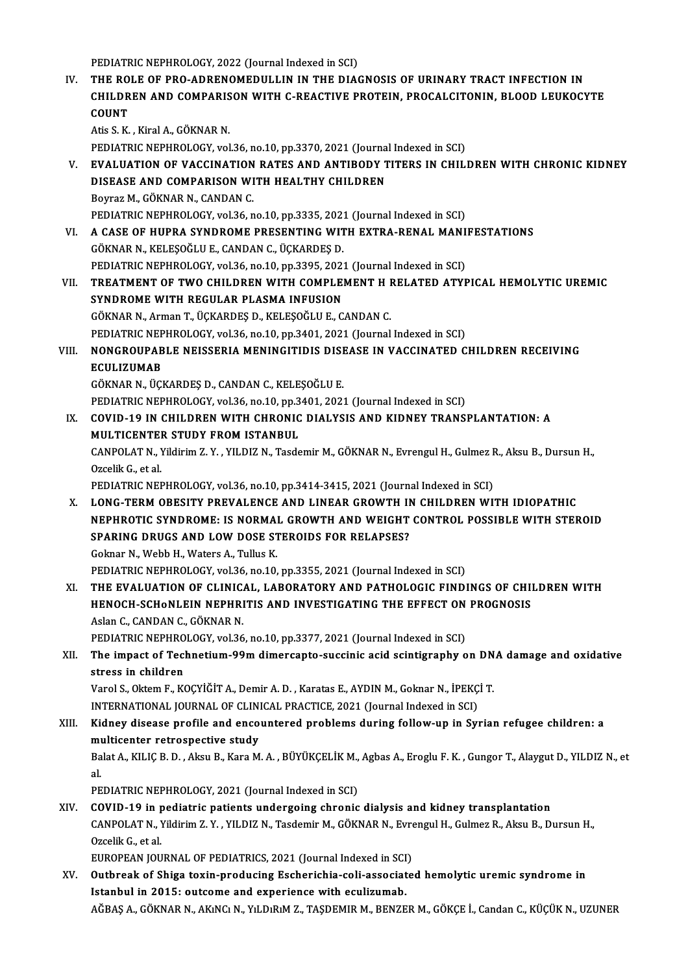PEDIATRIC NEPHROLOGY, 2022 (Journal Indexed in SCI)

PEDIATRIC NEPHROLOGY, 2022 (Journal Indexed in SCI)<br>IV. THE ROLE OF PRO-ADRENOMEDULLIN IN THE DIAGNOSIS OF URINARY TRACT INFECTION IN<br>CHILDEEN AND COMPARISON WITH C REACTIVE PROTEIN PROCAL CITONIN, BLOOD LEUKOCY PEDIATRIC NEPHROLOGY, 2022 (Journal Indexed in SCI)<br>THE ROLE OF PRO-ADRENOMEDULLIN IN THE DIAGNOSIS OF URINARY TRACT INFECTION IN<br>CHILDREN AND COMPARISON WITH C-REACTIVE PROTEIN, PROCALCITONIN, BLOOD LEUKOCYTE<br>COUNT THE RO<br>CHILDR<br>COUNT CHILDREN AND COMPARIS<br>COUNT<br>Atis S. K. , Kiral A., GÖKNAR N.<br>PEDIATRIC NEBHROLOCY vol COUNT<br>Atis S. K. , Kiral A., GÖKNAR N.<br>PEDIATRIC NEPHROLOGY, vol.36, no.10, pp.3370, 2021 (Journal Indexed in SCI)<br>EVALUATION OF VACCINATION BATES AND ANTIBODY TITEBS IN CHILI

- Atis S. K. , Kiral A., GÖKNAR N.<br>PEDIATRIC NEPHROLOGY, vol.36, no.10, pp.3370, 2021 (Journal Indexed in SCI)<br>V. EVALUATION OF VACCINATION RATES AND ANTIBODY TITERS IN CHILDREN WITH CHRONIC KIDNEY<br>DISEASE AND COMPARISON WIT PEDIATRIC NEPHROLOGY, vol.36, no.10, pp.3370, 2021 (Journa<br>EVALUATION OF VACCINATION RATES AND ANTIBODY T<br>DISEASE AND COMPARISON WITH HEALTHY CHILDREN<br>Bourge M. CÖKNAR N. CANDAN C EVALUATION OF VACCINATION<br>DISEASE AND COMPARISON WI<br>Boyraz M., GÖKNAR N., CANDAN C.<br>PEDIATRIC NEBUROLOCY vol 26 n DISEASE AND COMPARISON WITH HEALTHY CHILDREN<br>Boyraz M., GÖKNAR N., CANDAN C.<br>PEDIATRIC NEPHROLOGY, vol.36, no.10, pp.3335, 2021 (Journal Indexed in SCI)<br>A CASE OF HUPPA SYNDROME PRESENTING WITH EXTRA RENAL MANI Boyraz M., GÖKNAR N., CANDAN C.<br>PEDIATRIC NEPHROLOGY, vol.36, no.10, pp.3335, 2021 (Journal Indexed in SCI)<br>VI. A CASE OF HUPRA SYNDROME PRESENTING WITH EXTRA-RENAL MANIFESTATIONS
- PEDIATRIC NEPHROLOGY, vol.36, no.10, pp.3335, 2021<br>A CASE OF HUPRA SYNDROME PRESENTING WIT<br>GÖKNAR N., KELEŞOĞLU E., CANDAN C., ÜÇKARDEŞ D.<br>PEDIATRIC NEPHROLOGY, vol.36, no.10, np.3395, 393. A CASE OF HUPRA SYNDROME PRESENTING WITH EXTRA-RENAL MANI<br>GÖKNAR N., KELEŞOĞLU E., CANDAN C., ÜÇKARDEŞ D.<br>PEDIATRIC NEPHROLOGY, vol.36, no.10, pp.3395, 2021 (Journal Indexed in SCI)<br>TREATMENT OF TWO CHILDREN WITH COMPLEMEN GÖKNAR N., KELEŞOĞLU E., CANDAN C., ÜÇKARDEŞ D.<br>PEDIATRIC NEPHROLOGY, vol.36, no.10, pp.3395, 2021 (Journal Indexed in SCI)<br>VII. TREATMENT OF TWO CHILDREN WITH COMPLEMENT H RELATED ATYPICAL HEMOLYTIC UREMIC<br>SYNDROME WI
- PEDIATRIC NEPHROLOGY, vol.36, no.10, pp.3395, 2021 (Journal Indexed in SCI)<br>TREATMENT OF TWO CHILDREN WITH COMPLEMENT H RELATED ATYI<br>SYNDROME WITH REGULAR PLASMA INFUSION<br>GÖKNAR N., Arman T., ÜÇKARDEŞ D., KELEŞOĞLU E., CAN TREATMENT OF TWO CHILDREN WITH COMPLEMENT H I<br>SYNDROME WITH REGULAR PLASMA INFUSION<br>GÖKNAR N., Arman T., ÜÇKARDEŞ D., KELEŞOĞLU E., CANDAN C.<br>PEDIATRIC NEPHROLOCY. vel26. ne.10. np.2401.2021 (Journal SYNDROME WITH REGULAR PLASMA INFUSION<br>GÖKNAR N., Arman T., ÜÇKARDEŞ D., KELEŞOĞLU E., CANDAN C.<br>PEDIATRIC NEPHROLOGY, vol.36, no.10, pp.3401, 2021 (Journal Indexed in SCI)<br>NONCROURARI E NEISSERIA MENINCITIDIS DISEASE IN VA
- VIII. NONGROUPABLE NEISSERIA MENINGITIDIS DISEASE IN VACCINATED CHILDREN RECEIVING<br>ECULIZUMAB PEDIATRIC NEP<br>NONGROUPAB<br>ECULIZUMAB<br>CÖYNAB N. ÜCI

GÖKNARN.,ÜÇKARDEŞD.,CANDANC.,KELEŞOĞLUE. PEDIATRIC NEPHROLOGY, vol.36, no.10, pp.3401, 2021 (Journal Indexed in SCI)

GÖKNAR N., ÜÇKARDEŞ D., CANDAN C., KELEŞOĞLU E.<br>PEDIATRIC NEPHROLOGY, vol.36, no.10, pp.3401, 2021 (Journal Indexed in SCI)<br>IX. COVID-19 IN CHILDREN WITH CHRONIC DIALYSIS AND KIDNEY TRANSPLANTATION: A<br>MIJI TICENTER STU PEDIATRIC NEPHROLOGY, vol.36, no.10, pp.3<br>COVID-19 IN CHILDREN WITH CHRONIC<br>MULTICENTER STUDY FROM ISTANBUL<br>CANPOLAT N. Vildivim 7 V., VILDIZ N. Teede COVID-19 IN CHILDREN WITH CHRONIC DIALYSIS AND KIDNEY TRANSPLANTATION: A<br>MULTICENTER STUDY FROM ISTANBUL<br>CANPOLAT N., Yildirim Z. Y. , YILDIZ N., Tasdemir M., GÖKNAR N., Evrengul H., Gulmez R., Aksu B., Dursun H.,<br>Ozgalik **MULTICENTE<br>CANPOLAT N., 1<br>Ozcelik G., et al.**<br>PEDIATPIC NET CANPOLAT N., Yildirim Z. Y. , YILDIZ N., Tasdemir M., GÖKNAR N., Evrengul H., Gulmez F<br>Ozcelik G., et al.<br>PEDIATRIC NEPHROLOGY, vol.36, no.10, pp.3414-3415, 2021 (Journal Indexed in SCI)<br>LONG TERM ORESITY RREVALENCE AND LI

- Ozcelik G., et al.<br>PEDIATRIC NEPHROLOGY, vol.36, no.10, pp.3414-3415, 2021 (Journal Indexed in SCI)<br>X. LONG-TERM OBESITY PREVALENCE AND LINEAR GROWTH IN CHILDREN WITH IDIOPATHIC<br>NEPUROTIC SYNDROME: IS NORMAL CROWTH AND WEI PEDIATRIC NEPHROLOGY, vol.36, no.10, pp.3414-3415, 2021 (Journal Indexed in SCI)<br>LONG-TERM OBESITY PREVALENCE AND LINEAR GROWTH IN CHILDREN WITH IDIOPATHIC<br>NEPHROTIC SYNDROME: IS NORMAL GROWTH AND WEIGHT CONTROL POSSIBLE W LONG-TERM OBESITY PREVALENCE AND LINEAR GROWTH IN<br>NEPHROTIC SYNDROME: IS NORMAL GROWTH AND WEIGHT<br>SPARING DRUGS AND LOW DOSE STEROIDS FOR RELAPSES?<br>Colmar N. Wobb H. Wators A. Tullus K. **NEPHROTIC SYNDROME: IS NORMAL<br>SPARING DRUGS AND LOW DOSE ST<br>Goknar N., Webb H., Waters A., Tullus K.**<br>PEDIATPIC NEPHROLOCY vol 26 no.10. Goknar N., Webb H., Waters A., Tullus K.<br>PEDIATRIC NEPHROLOGY, vol.36, no.10, pp.3355, 2021 (Journal Indexed in SCI) Goknar N., Webb H., Waters A., Tullus K.<br>PEDIATRIC NEPHROLOGY, vol.36, no.10, pp.3355, 2021 (Journal Indexed in SCI)<br>XI. THE EVALUATION OF CLINICAL, LABORATORY AND PATHOLOGIC FINDINGS OF CHILDREN WITH<br>HENOCH SCHONI EIN NEP
	- PEDIATRIC NEPHROLOGY, vol.36, no.10, pp.3355, 2021 (Journal Indexed in SCI)<br>THE EVALUATION OF CLINICAL, LABORATORY AND PATHOLOGIC FINDINGS OF CHII<br>HENOCH-SCHoNLEIN NEPHRITIS AND INVESTIGATING THE EFFECT ON PROGNOSIS<br>Askar
- HENOCH-SCHONLEIN NEPHRITIS AND INVESTIGATING THE EFFECT ON PROGNOSIS Aslan C., CANDAN C., GÖKNAR N. HENOCH-SCHONLEIN NEPHRITIS AND INVESTIGATING THE EFFECT ON<br>Aslan C., CANDAN C., GÖKNAR N.<br>PEDIATRIC NEPHROLOGY, vol.36, no.10, pp.3377, 2021 (Journal Indexed in SCI)<br>The impact of Technotium 90m dimensante quesinis acid sc

### XII. The impact of Technetium-99m dimercapto-succinic acid scintigraphy on DNA damage and oxidative stress in children PEDIATRIC NEPHRO<br>The impact of Teck<br>stress in children<br>Varol S. Oktom E. K The impact of Technetium-99m dimercapto-succinic acid scintigraphy on DN<br>stress in children<br>Varol S., Oktem F., KOÇYİĞİT A., Demir A. D. , Karatas E., AYDIN M., Goknar N., İPEKÇİ T.<br>INTERNATIONAL JOURNAL OF CLINICAL PRACTI

stress in children<br>Varol S., Oktem F., KOÇYİĞİT A., Demir A. D. , Karatas E., AYDIN M., Goknar N., İPEKÇ<br>INTERNATIONAL JOURNAL OF CLINICAL PRACTICE, 2021 (Journal Indexed in SCI)<br>Kidney disease profile and enseuntered prob INTERNATIONAL JOURNAL OF CLINICAL PRACTICE, 2021 (Journal Indexed in SCI)

### XIII. Kidney disease profile and encountered problems during follow-up in Syrian refugee children: a<br>multicenter retrospective study Kidney disease profile and encountered problems during follow-up in Syrian refugee children: a<br>multicenter retrospective study<br>Balat A., KILIÇ B. D. , Aksu B., Kara M. A. , BÜYÜKÇELİK M., Agbas A., Eroglu F. K. , Gungor T. mu<br>Ba<br>pr Balat A., KILIÇ B. D. , Aksu B., Kara M. A. , BÜYÜKÇELİK M.,<br>al.<br>PEDIATRIC NEPHROLOGY, 2021 (Journal Indexed in SCI)<br>COVID 19 in podiatric patients undergeing ehnenis

al.<br>PEDIATRIC NEPHROLOGY, 2021 (Journal Indexed in SCI)<br>XIV. COVID-19 in pediatric patients undergoing chronic dialysis and kidney transplantation CANPOLAT N., Yildirim Z.Y., YILDIZ N., Tasdemir M., GÖKNAR N., Evrengul H., Gulmez R., Aksu B., Dursun H., OzcelikG.,etal. CANPOLAT N., Yildirim Z. Y. , YILDIZ N., Tasdemir M., GÖKNAR N., Evre<br>Ozcelik G., et al.<br>EUROPEAN JOURNAL OF PEDIATRICS, 2021 (Journal Indexed in SCI)<br>Outhreak of Shiga tovin producing Escharishia soli associate

XV. Outbreak of Shiga toxin-producing Escherichia-coli-associated hemolytic uremic syndrome in EUROPEAN JOURNAL OF PEDIATRICS, 2021 (Journal Indexed in SCI<br>Outbreak of Shiga toxin-producing Escherichia-coli-associat<br>Istanbul in 2015: outcome and experience with eculizumab.<br>ACPAS A. CÖKNAR N. AK:NG: N. V:LD:B:M.Z. TA AĞBAŞA.,GÖKNARN.,AKıNCıN.,YıLDıRıMZ.,TAŞDEMIRM.,BENZERM.,GÖKÇEİ.,CandanC.,KÜÇÜKN.,UZUNER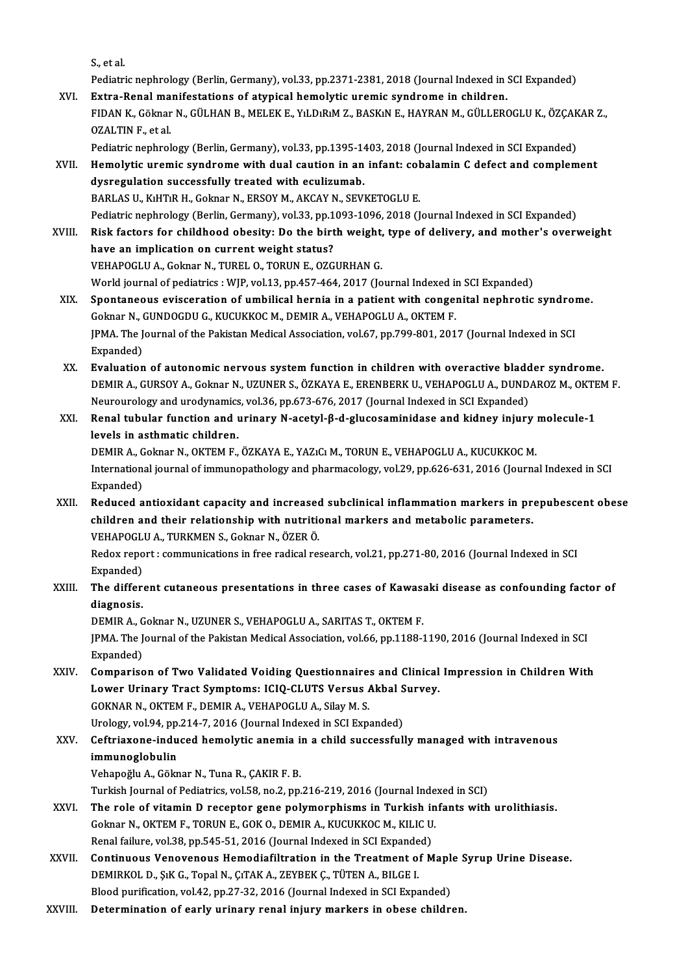S.,etal.

S., et al.<br>Pediatric nephrology (Berlin, Germany), vol.33, pp.2371-2381, 2018 (Journal Indexed in SCI Expanded)<br>Extre Renal manifestations of atunisal bemalutie uramis sundrame in shildren S., et al.<br>Pediatric nephrology (Berlin, Germany), vol.33, pp.2371-2381, 2018 (Journal Indexed in .<br>XVI. Extra-Renal manifestations of atypical hemolytic uremic syndrome in children.<br>EIDAN K. Gälman N. GÜLHAN B. MELEKE, VJ

Pediatric nephrology (Berlin, Germany), vol.33, pp.2371-2381, 2018 (Journal Indexed in SCI Expanded)<br>Extra-Renal manifestations of atypical hemolytic uremic syndrome in children.<br>FIDAN K., Göknar N., GÜLHAN B., MELEK E., Y <mark>Extra-Renal ma</mark><br>FIDAN K., Göknar<br>OZALTIN F., et al.<br><sup>Dodiatric</sup> nophrol FIDAN K., Göknar N., GÜLHAN B., MELEK E., YıLDıRıM Z., BASKıN E., HAYRAN M., GÜLLEROGLU K., ÖZÇAK<br>OZALTIN F., et al.<br>Pediatric nephrology (Berlin, Germany), vol.33, pp.1395-1403, 2018 (Journal Indexed in SCI Expanded)<br>Hama

- OZALTIN F., et al.<br>Pediatric nephrology (Berlin, Germany), vol.33, pp.1395-1403, 2018 (Journal Indexed in SCI Expanded)<br>XVII. Hemolytic uremic syndrome with dual caution in an infant: cobalamin C defect and complement<br>dysr Pediatric nephrology (Berlin, Germany), vol.33, pp.1395-14<br>Hemolytic uremic syndrome with dual caution in an<br>dysregulation successfully treated with eculizumab.<br>PAPLAS IL WUTP H. Colman N. FRSOV M. AKCAV N. SEVI Hemolytic uremic syndrome with dual caution in an infant: coldysregulation successfully treated with eculizumab.<br>BARLAS U., KıHTıR H., Goknar N., ERSOY M., AKCAY N., SEVKETOGLU E.<br>Bediatric perhrelogy (Berlin Cermany) vel dysregulation successfully treated with eculizumab.<br>BARLAS U., KıHTıR H., Goknar N., ERSOY M., AKCAY N., SEVKETOGLU E.<br>Pediatric nephrology (Berlin, Germany), vol.33, pp.1093-1096, 2018 (Journal Indexed in SCI Expanded)<br>Bi BARLAS U., KıHTıR H., Goknar N., ERSOY M., AKCAY N., SEVKETOGLU E.<br>Pediatric nephrology (Berlin, Germany), vol.33, pp.1093-1096, 2018 (Journal Indexed in SCI Expanded)<br>XVIII. Risk factors for childhood obesity: Do the birt
- Pediatric nephrology (Berlin, Germany), vol.33, pp.1<br>Risk factors for childhood obesity: Do the birt<br>have an implication on current weight status?<br>VEHAPOCLUA Colmar N. TUREL O. TOPUNE, OZC Risk factors for childhood obesity: Do the birth weight,<br>have an implication on current weight status?<br>VEHAPOGLU A., Goknar N., TUREL O., TORUN E., OZGURHAN G.<br>Werld journal of podiatrics : WIP yol 12, np 457,464,2017 (Jo have an implication on current weight status?<br>VEHAPOGLU A., Goknar N., TUREL O., TORUN E., OZGURHAN G.<br>World journal of pediatrics : WJP, vol.13, pp.457-464, 2017 (Journal Indexed in SCI Expanded) VEHAPOGLU A., Goknar N., TUREL O., TORUN E., OZGURHAN G.<br>World journal of pediatrics : WJP, vol.13, pp.457-464, 2017 (Journal Indexed in SCI Expanded)<br>XIX. Spontaneous evisceration of umbilical hernia in a patient with con
- World journal of pediatrics : WJP, vol.13, pp.457-464, 2017 (Journal Indexed in<br>Spontaneous evisceration of umbilical hernia in a patient with congel<br>Goknar N., GUNDOGDU G., KUCUKKOC M., DEMIR A., VEHAPOGLU A., OKTEM F.<br>IP Spontaneous evisceration of umbilical hernia in a patient with congenital nephrotic syndrol<br>Goknar N., GUNDOGDU G., KUCUKKOC M., DEMIR A., VEHAPOGLU A., OKTEM F.<br>JPMA. The Journal of the Pakistan Medical Association, vol.6 Goknar N., (<br>JPMA. The J<br>Expanded)<br>Eveluation JPMA. The Journal of the Pakistan Medical Association, vol.67, pp.799-801, 2017 (Journal Indexed in SCI<br>Expanded)<br>XX. Evaluation of autonomic nervous system function in children with overactive bladder syndrome.
- Expanded)<br>Evaluation of autonomic nervous system function in children with overactive bladder syndrome.<br>DEMIR A., GURSOY A., Goknar N., UZUNER S., ÖZKAYA E., ERENBERK U., VEHAPOGLU A., DUNDAROZ M., OKTEM F.<br>Naurourelegy an Evaluation of autonomic nervous system function in children with overactive bladd<br>DEMIR A., GURSOY A., Goknar N., UZUNER S., ÖZKAYA E., ERENBERK U., VEHAPOGLU A., DUND.<br>Neurourology and urodynamics, vol.36, pp.673-676, 201 DEMIR A., GURSOY A., Goknar N., UZUNER S., ÖZKAYA E., ERENBERK U., VEHAPOGLU A., DUNDAROZ M., OKTE<br>Neurourology and urodynamics, vol.36, pp.673-676, 2017 (Journal Indexed in SCI Expanded)<br>XXI. Renal tubular function and u
- Neurourology and urodynamics, vol.36, pp.673-676, 2017 (Journal Indexed in SCI Expanded)<br>Renal tubular function and urinary N-acetyl-β-d-glucosaminidase and kidney injury molecule-1<br>levels in asthmatic children. Renal tubular function and urinary N-acetyl-β-d-glucosaminidase and kidney injury<br>levels in asthmatic children.<br>DEMIR A., Goknar N., OKTEM F., ÖZKAYA E., YAZıCı M., TORUN E., VEHAPOGLU A., KUCUKKOC M.<br>International journa

International journal of immunopathology and pharmacology, vol.29, pp.626-631, 2016 (Journal Indexed in SCI<br>Expanded) DEMIR A., G<br>Internation:<br>Expanded)<br>Peduced a International journal of immunopathology and pharmacology, vol.29, pp.626-631, 2016 (Journal Indexed in SCI<br>Expanded)<br>XXII. Reduced antioxidant capacity and increased subclinical inflammation markers in prepubescent obese<br>

Expanded)<br>Reduced antioxidant capacity and increased subclinical inflammation markers in pro<br>children and their relationship with nutritional markers and metabolic parameters.<br>VEHAPOCLU A. TURKMENS Golman N. ÖZER Ö. Reduced antioxidant capacity and increased<br>children and their relationship with nutrition<br>VEHAPOGLU A., TURKMEN S., Goknar N., ÖZER Ö.<br>Redev renert i semmunisations in free redisel re children and their relationship with nutritional markers and metabolic parameters.<br>VEHAPOGLU A., TURKMEN S., Goknar N., ÖZER Ö.<br>Redox report : communications in free radical research, vol.21, pp.271-80, 2016 (Journal Index

VEHAPOGL<br>Redox repo<br>Expanded)<br>The differ Redox report : communications in free radical research, vol.21, pp.271-80, 2016 (Journal Indexed in SCI<br>Expanded)<br>XXIII. The different cutaneous presentations in three cases of Kawasaki disease as confounding factor of

Expanded)<br>The differ<br>diagnosis. The different cutaneous presentations in three cases of Kawas:<br>diagnosis.<br>DEMIR A., Goknar N., UZUNER S., VEHAPOGLU A., SARITAS T., OKTEM F.<br>IPMA. The Journal of the Poliston Medical Acoasistion .vel 66, pp.1199.2

diagnosis.<br>DEMIR A., Goknar N., UZUNER S., VEHAPOGLU A., SARITAS T., OKTEM F.<br>JPMA. The Journal of the Pakistan Medical Association, vol.66, pp.1188-1190, 2016 (Journal Indexed in SCI<br>Eynanded) DEMIR A., G<br>JPMA. The J<br>Expanded)<br>Companies JPMA. The Journal of the Pakistan Medical Association, vol.66, pp.1188-1190, 2016 (Journal Indexed in SCI<br>Expanded)<br>XXIV. Comparison of Two Validated Voiding Questionnaires and Clinical Impression in Children With

Expanded)<br>Comparison of Two Validated Voiding Questionnaires and Clinical<br>Lower Urinary Tract Symptoms: ICIQ-CLUTS Versus Akbal Survey.<br>COKNAR N. OKTEM E. DEMIR A. VEHAPOCLU A. Silay M. S. Comparison of Two Validated Voiding Questionnaire.<br>Lower Urinary Tract Symptoms: ICIQ-CLUTS Versus *I*<br>GOKNAR N., OKTEM F., DEMIR A., VEHAPOGLU A., Silay M. S.<br>Urology vol.94, np.214, 7, 2016 (Journal Indoved in SCLEYn Lower Urinary Tract Symptoms: ICIQ-CLUTS Versus Akbal S<br>GOKNAR N., OKTEM F., DEMIR A., VEHAPOGLU A., Silay M. S.<br>Urology, vol.94, pp.214-7, 2016 (Journal Indexed in SCI Expanded)<br>Ceftriaxone indused bemelytis anomia in a s GOKNAR N., OKTEM F., DEMIR A., VEHAPOGLU A., Silay M. S.<br>Urology, vol.94, pp.214-7, 2016 (Journal Indexed in SCI Expanded)<br>XXV. Ceftriaxone-induced hemolytic anemia in a child successfully managed with intravenous<br>immu

## Urology, vol.94, pp.<br><mark>Ceftriaxone-indu</mark><br>immunoglobulin<br>Vebanoğlu A. Gölm Ceftriaxone-induced hemolytic anemia i<mark>:</mark><br>immunoglobulin<br>Vehapoğlu A., Göknar N., Tuna R., ÇAKIR F. B.<br>Turkich Journal of Pediatrics vol 59, po 3, pp. <mark>immunoglobulin</mark><br>Vehapoğlu A., Göknar N., Tuna R., ÇAKIR F. B.<br>Turkish Journal of Pediatrics, vol.58, no.2, pp.216-219, 2016 (Journal Indexed in SCI)<br>The role of vitemin D. resenter gene nolumernhisms in Turkish infonts wi

- Vehapoğlu A., Göknar N., Tuna R., ÇAKIR F. B.<br>Turkish Journal of Pediatrics, vol.58, no.2, pp.216-219, 2016 (Journal Indexed in SCI)<br>XXVI. The role of vitamin D receptor gene polymorphisms in Turkish infants with uroli Turkish Journal of Pediatrics, vol.58, no.2, pp.216-219, 2016 (Journal Inde<br>The role of vitamin D receptor gene polymorphisms in Turkish in<br>Goknar N., OKTEM F., TORUN E., GOK O., DEMIR A., KUCUKKOC M., KILIC U.<br>Penal follu Goknar N., OKTEM F., TORUN E., GOK O., DEMIR A., KUCUKKOC M., KILIC U.<br>Renal failure, vol.38, pp.545-51, 2016 (Journal Indexed in SCI Expanded) Goknar N., OKTEM F., TORUN E., GOK O., DEMIR A., KUCUKKOC M., KILIC U.<br>Renal failure, vol.38, pp.545-51, 2016 (Journal Indexed in SCI Expanded)<br>XXVII. Continuous Venovenous Hemodiafiltration in the Treatment of Maple Syrup
- Renal failure, vol.38, pp.545-51, 2016 (Journal Indexed in SCI Expande<br>Continuous Venovenous Hemodiafiltration in the Treatment of<br>DEMIRKOL D., ŞıK G., Topal N., ÇıTAK A., ZEYBEK Ç., TÜTEN A., BILGE I.<br>Blaad nurification. Continuous Venovenous Hemodiafiltration in the Treatment of Mapl<br>DEMIRKOL D., ŞıK G., Topal N., ÇıTAK A., ZEYBEK Ç., TÜTEN A., BILGE I.<br>Blood purification, vol.42, pp.27-32, 2016 (Journal Indexed in SCI Expanded)<br>Determina DEMIRKOL D., ŞıK G., Topal N., ÇıTAK A., ZEYBEK Ç., TÜTEN A., BILGE I.<br>Blood purification, vol.42, pp.27-32, 2016 (Journal Indexed in SCI Expanded)<br>XXVIII. Determination of early urinary renal injury markers in obese c
-